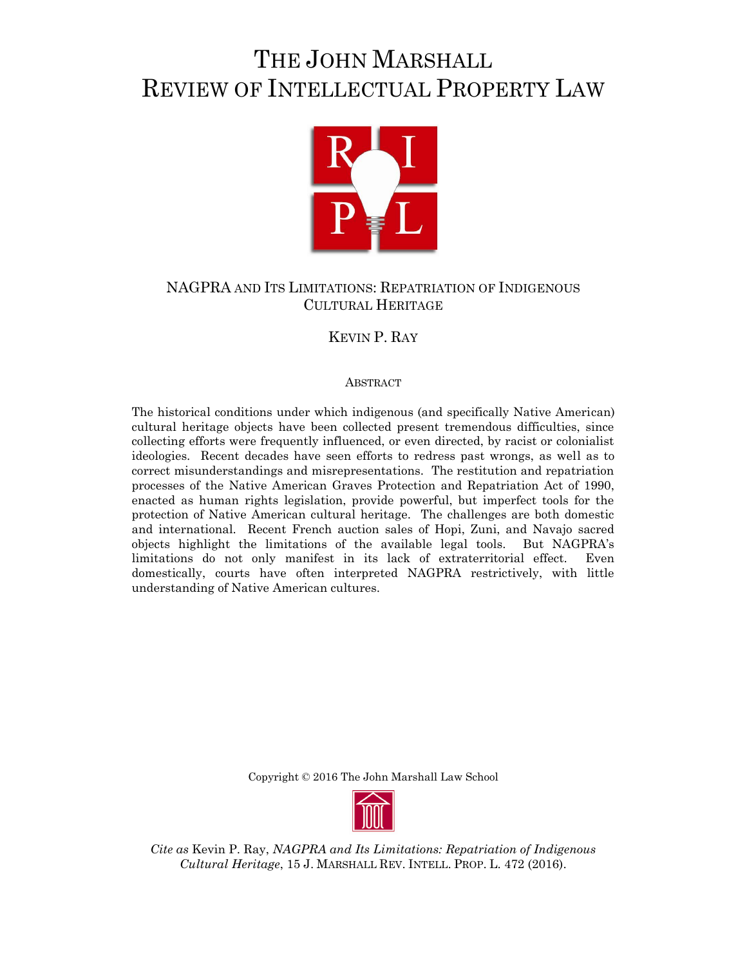# THE JOHN MARSHALL REVIEW OF INTELLECTUAL PROPERTY LAW



# NAGPRA AND ITS LIMITATIONS: REPATRIATION OF INDIGENOUS CULTURAL HERITAGE

# KEVIN P. RAY

# ABSTRACT

The historical conditions under which indigenous (and specifically Native American) cultural heritage objects have been collected present tremendous difficulties, since collecting efforts were frequently influenced, or even directed, by racist or colonialist ideologies. Recent decades have seen efforts to redress past wrongs, as well as to correct misunderstandings and misrepresentations. The restitution and repatriation processes of the Native American Graves Protection and Repatriation Act of 1990, enacted as human rights legislation, provide powerful, but imperfect tools for the protection of Native American cultural heritage. The challenges are both domestic and international. Recent French auction sales of Hopi, Zuni, and Navajo sacred objects highlight the limitations of the available legal tools. But NAGPRA's limitations do not only manifest in its lack of extraterritorial effect. Even domestically, courts have often interpreted NAGPRA restrictively, with little understanding of Native American cultures.

Copyright © 2016 The John Marshall Law School



*Cite as* Kevin P. Ray, *NAGPRA and Its Limitations: Repatriation of Indigenous Cultural Heritage*, 15 J. MARSHALL REV. INTELL. PROP. L. 472 (2016).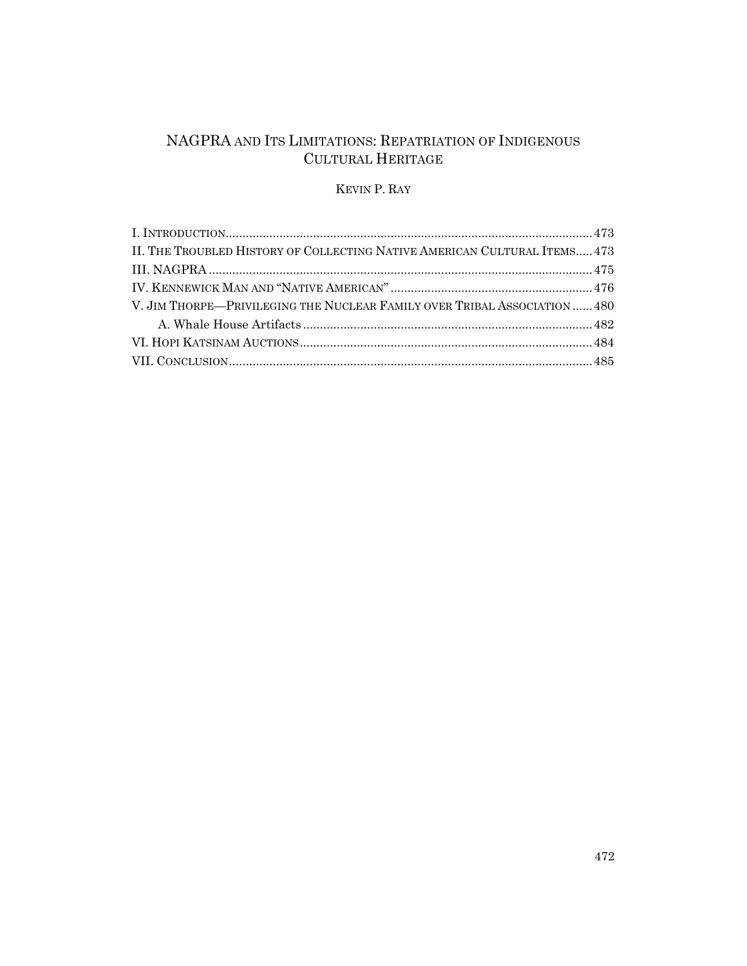# NAGPRA AND ITS LIMITATIONS: REPATRIATION OF INDIGENOUS CULTURAL HERITAGE

# KEVIN P. RAY

| II. THE TROUBLED HISTORY OF COLLECTING NATIVE AMERICAN CULTURAL ITEMS 473 |  |
|---------------------------------------------------------------------------|--|
|                                                                           |  |
|                                                                           |  |
| V. JIM THORPE—PRIVILEGING THE NUCLEAR FAMILY OVER TRIBAL ASSOCIATION  480 |  |
|                                                                           |  |
|                                                                           |  |
|                                                                           |  |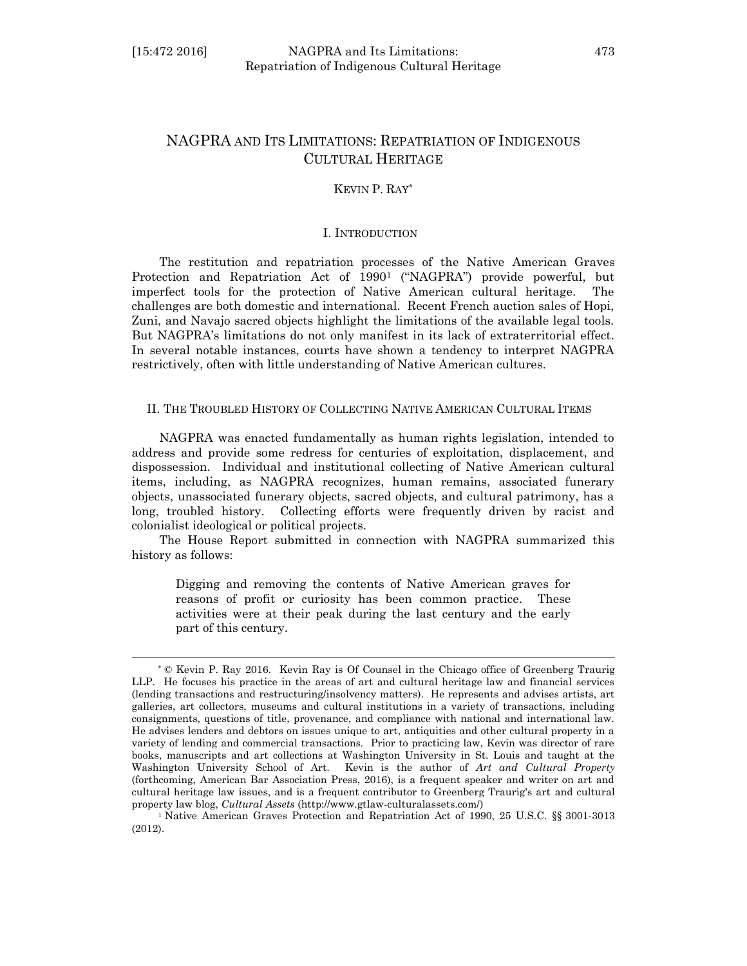l

## KEVIN P. RAY\*

#### I. INTRODUCTION

The restitution and repatriation processes of the Native American Graves Protection and Repatriation Act of 1990<sup>1</sup> ("NAGPRA") provide powerful, but imperfect tools for the protection of Native American cultural heritage. The challenges are both domestic and international. Recent French auction sales of Hopi, Zuni, and Navajo sacred objects highlight the limitations of the available legal tools. But NAGPRA's limitations do not only manifest in its lack of extraterritorial effect. In several notable instances, courts have shown a tendency to interpret NAGPRA restrictively, often with little understanding of Native American cultures.

## II. THE TROUBLED HISTORY OF COLLECTING NATIVE AMERICAN CULTURAL ITEMS

NAGPRA was enacted fundamentally as human rights legislation, intended to address and provide some redress for centuries of exploitation, displacement, and dispossession. Individual and institutional collecting of Native American cultural items, including, as NAGPRA recognizes, human remains, associated funerary objects, unassociated funerary objects, sacred objects, and cultural patrimony, has a long, troubled history. Collecting efforts were frequently driven by racist and colonialist ideological or political projects.

The House Report submitted in connection with NAGPRA summarized this history as follows:

Digging and removing the contents of Native American graves for reasons of profit or curiosity has been common practice. These activities were at their peak during the last century and the early part of this century.

<sup>\*</sup> © Kevin P. Ray 2016. Kevin Ray is Of Counsel in the Chicago office of Greenberg Traurig LLP. He focuses his practice in the areas of art and cultural heritage law and financial services (lending transactions and restructuring/insolvency matters). He represents and advises artists, art galleries, art collectors, museums and cultural institutions in a variety of transactions, including consignments, questions of title, provenance, and compliance with national and international law. He advises lenders and debtors on issues unique to art, antiquities and other cultural property in a variety of lending and commercial transactions. Prior to practicing law, Kevin was director of rare books, manuscripts and art collections at Washington University in St. Louis and taught at the Washington University School of Art. Kevin is the author of *Art and Cultural Property*  (forthcoming, American Bar Association Press, 2016), is a frequent speaker and writer on art and cultural heritage law issues, and is a frequent contributor to Greenberg Traurig's art and cultural property law blog, *Cultural Assets* [\(http://www.gtlaw-culturalassets.com/\)](http://www.gtlaw-culturalassets.com/)

<sup>1</sup> Native American Graves Protection and Repatriation Act of 1990, 25 U.S.C. §§ 3001-3013 (2012).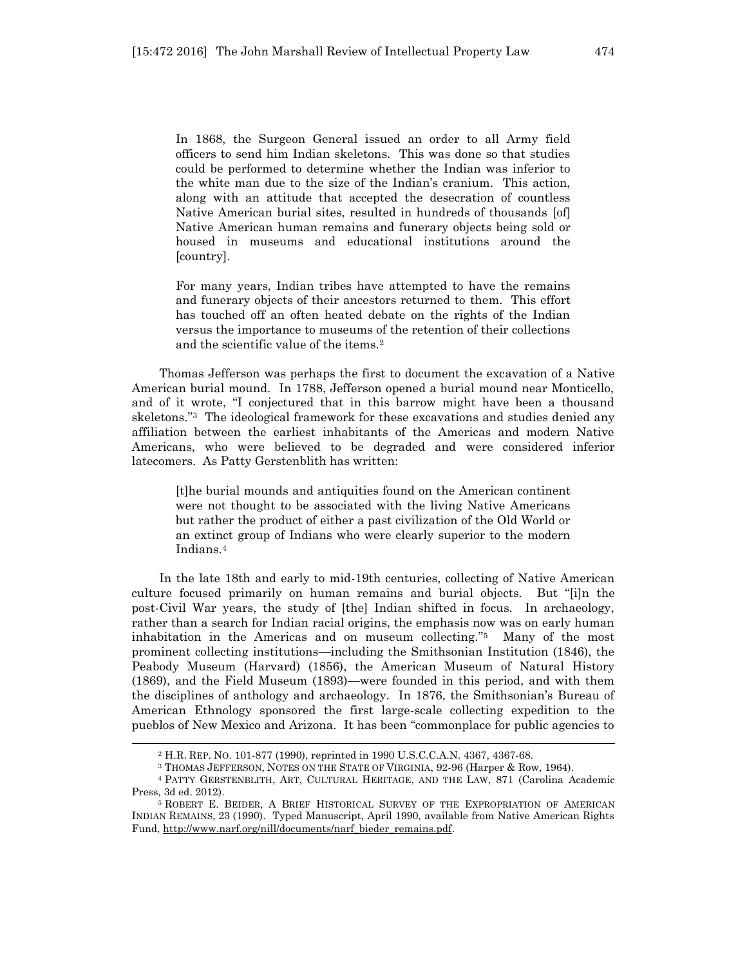In 1868, the Surgeon General issued an order to all Army field officers to send him Indian skeletons. This was done so that studies could be performed to determine whether the Indian was inferior to the white man due to the size of the Indian's cranium. This action, along with an attitude that accepted the desecration of countless Native American burial sites, resulted in hundreds of thousands [of] Native American human remains and funerary objects being sold or housed in museums and educational institutions around the [country].

For many years, Indian tribes have attempted to have the remains and funerary objects of their ancestors returned to them. This effort has touched off an often heated debate on the rights of the Indian versus the importance to museums of the retention of their collections and the scientific value of the items.<sup>2</sup>

Thomas Jefferson was perhaps the first to document the excavation of a Native American burial mound. In 1788, Jefferson opened a burial mound near Monticello, and of it wrote, "I conjectured that in this barrow might have been a thousand skeletons."3 The ideological framework for these excavations and studies denied any affiliation between the earliest inhabitants of the Americas and modern Native Americans, who were believed to be degraded and were considered inferior latecomers. As Patty Gerstenblith has written:

[t]he burial mounds and antiquities found on the American continent were not thought to be associated with the living Native Americans but rather the product of either a past civilization of the Old World or an extinct group of Indians who were clearly superior to the modern Indians.<sup>4</sup>

In the late 18th and early to mid-19th centuries, collecting of Native American culture focused primarily on human remains and burial objects. But "[i]n the post-Civil War years, the study of [the] Indian shifted in focus. In archaeology, rather than a search for Indian racial origins, the emphasis now was on early human inhabitation in the Americas and on museum collecting." <sup>5</sup> Many of the most prominent collecting institutions—including the Smithsonian Institution (1846), the Peabody Museum (Harvard) (1856), the American Museum of Natural History (1869), and the Field Museum (1893)—were founded in this period, and with them the disciplines of anthology and archaeology. In 1876, the Smithsonian's Bureau of American Ethnology sponsored the first large-scale collecting expedition to the pueblos of New Mexico and Arizona. It has been "commonplace for public agencies to

<sup>2</sup> H.R. REP. NO. 101-877 (1990), reprinted in 1990 U.S.C.C.A.N. 4367, 4367-68.

<sup>3</sup> THOMAS JEFFERSON, NOTES ON THE STATE OF VIRGINIA, 92-96 (Harper & Row, 1964).

<sup>4</sup> PATTY GERSTENBLITH, ART, CULTURAL HERITAGE, AND THE LAW, 871 (Carolina Academic Press, 3d ed. 2012).

<sup>5</sup> ROBERT E. BEIDER, A BRIEF HISTORICAL SURVEY OF THE EXPROPRIATION OF AMERICAN INDIAN REMAINS, 23 (1990). Typed Manuscript, April 1990, available from Native American Rights Fund[, http://www.narf.org/nill/documents/narf\\_bieder\\_remains.pdf.](http://www.narf.org/nill/documents/narf_bieder_remains.pdf)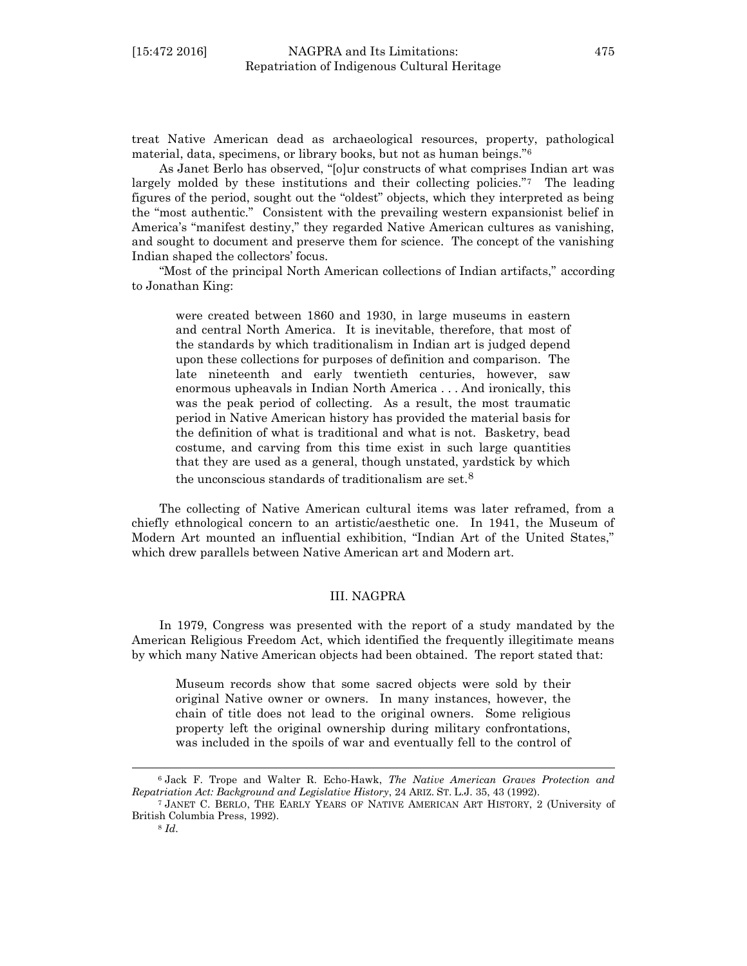treat Native American dead as archaeological resources, property, pathological material, data, specimens, or library books, but not as human beings."<sup>6</sup>

As Janet Berlo has observed, "[o]ur constructs of what comprises Indian art was largely molded by these institutions and their collecting policies."7 The leading figures of the period, sought out the "oldest" objects, which they interpreted as being the "most authentic." Consistent with the prevailing western expansionist belief in America's "manifest destiny," they regarded Native American cultures as vanishing, and sought to document and preserve them for science. The concept of the vanishing Indian shaped the collectors' focus.

"Most of the principal North American collections of Indian artifacts," according to Jonathan King:

were created between 1860 and 1930, in large museums in eastern and central North America. It is inevitable, therefore, that most of the standards by which traditionalism in Indian art is judged depend upon these collections for purposes of definition and comparison. The late nineteenth and early twentieth centuries, however, saw enormous upheavals in Indian North America . . . And ironically, this was the peak period of collecting. As a result, the most traumatic period in Native American history has provided the material basis for the definition of what is traditional and what is not. Basketry, bead costume, and carving from this time exist in such large quantities that they are used as a general, though unstated, yardstick by which the unconscious standards of traditionalism are set.<sup>8</sup>

The collecting of Native American cultural items was later reframed, from a chiefly ethnological concern to an artistic/aesthetic one. In 1941, the Museum of Modern Art mounted an influential exhibition, "Indian Art of the United States," which drew parallels between Native American art and Modern art.

## III. NAGPRA

In 1979, Congress was presented with the report of a study mandated by the American Religious Freedom Act, which identified the frequently illegitimate means by which many Native American objects had been obtained. The report stated that:

Museum records show that some sacred objects were sold by their original Native owner or owners. In many instances, however, the chain of title does not lead to the original owners. Some religious property left the original ownership during military confrontations, was included in the spoils of war and eventually fell to the control of

<sup>6</sup> Jack F. Trope and Walter R. Echo-Hawk, *The Native American Graves Protection and Repatriation Act: Background and Legislative History*, 24 ARIZ. ST. L.J. 35, 43 (1992).

<sup>7</sup> JANET C. BERLO, THE EARLY YEARS OF NATIVE AMERICAN ART HISTORY, 2 (University of British Columbia Press, 1992).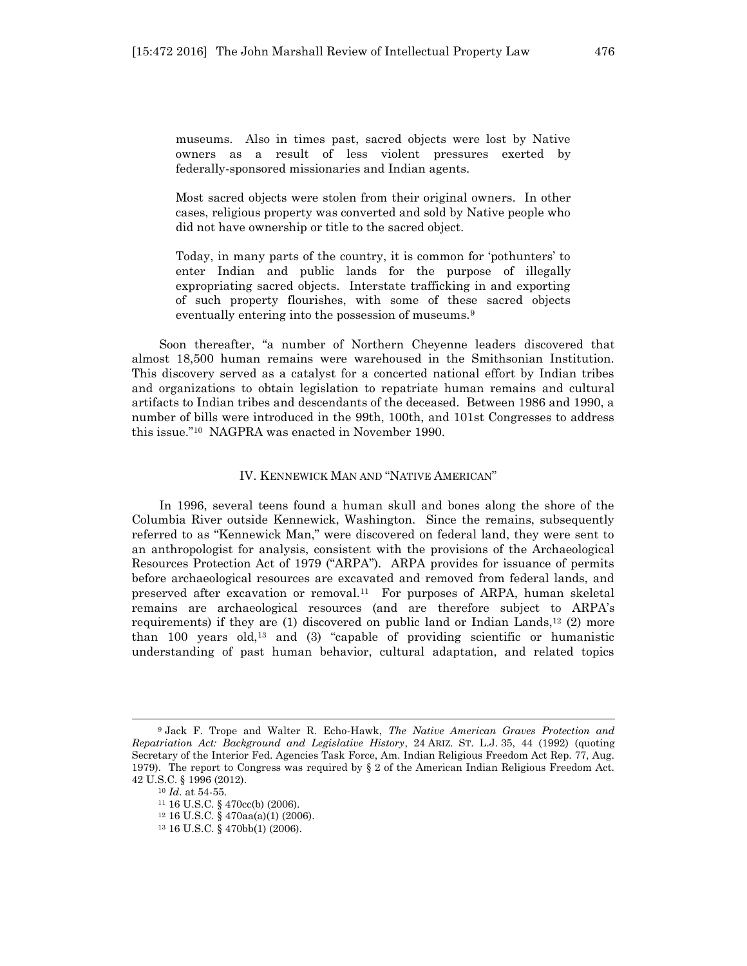museums. Also in times past, sacred objects were lost by Native owners as a result of less violent pressures exerted by federally-sponsored missionaries and Indian agents.

Most sacred objects were stolen from their original owners. In other cases, religious property was converted and sold by Native people who did not have ownership or title to the sacred object.

Today, in many parts of the country, it is common for 'pothunters' to enter Indian and public lands for the purpose of illegally expropriating sacred objects. Interstate trafficking in and exporting of such property flourishes, with some of these sacred objects eventually entering into the possession of museums.<sup>9</sup>

Soon thereafter, "a number of Northern Cheyenne leaders discovered that almost 18,500 human remains were warehoused in the Smithsonian Institution. This discovery served as a catalyst for a concerted national effort by Indian tribes and organizations to obtain legislation to repatriate human remains and cultural artifacts to Indian tribes and descendants of the deceased. Between 1986 and 1990, a number of bills were introduced in the 99th, 100th, and 101st Congresses to address this issue."10 NAGPRA was enacted in November 1990.

## IV. KENNEWICK MAN AND "NATIVE AMERICAN"

In 1996, several teens found a human skull and bones along the shore of the Columbia River outside Kennewick, Washington. Since the remains, subsequently referred to as "Kennewick Man," were discovered on federal land, they were sent to an anthropologist for analysis, consistent with the provisions of the Archaeological Resources Protection Act of 1979 ("ARPA"). ARPA provides for issuance of permits before archaeological resources are excavated and removed from federal lands, and preserved after excavation or removal.11 For purposes of ARPA, human skeletal remains are archaeological resources (and are therefore subject to ARPA's requirements) if they are (1) discovered on public land or Indian Lands,<sup>12</sup> (2) more than 100 years old,<sup>13</sup> and (3) "capable of providing scientific or humanistic understanding of past human behavior, cultural adaptation, and related topics

<sup>9</sup> Jack F. Trope and Walter R. Echo-Hawk, *The Native American Graves Protection and Repatriation Act: Background and Legislative History*, 24 ARIZ. ST. L.J. 35, 44 (1992) (quoting Secretary of the Interior Fed. Agencies Task Force, Am. Indian Religious Freedom Act Rep. 77, Aug. 1979). The report to Congress was required by § 2 of the American Indian Religious Freedom Act. 42 U.S.C. § 1996 (2012).

<sup>10</sup> *Id*. at 54-55.

<sup>11</sup> 16 U.S.C. § 470cc(b) (2006).

<sup>12</sup> 16 U.S.C. § 470aa(a)(1) (2006).

<sup>13</sup> 16 U.S.C. § 470bb(1) (2006).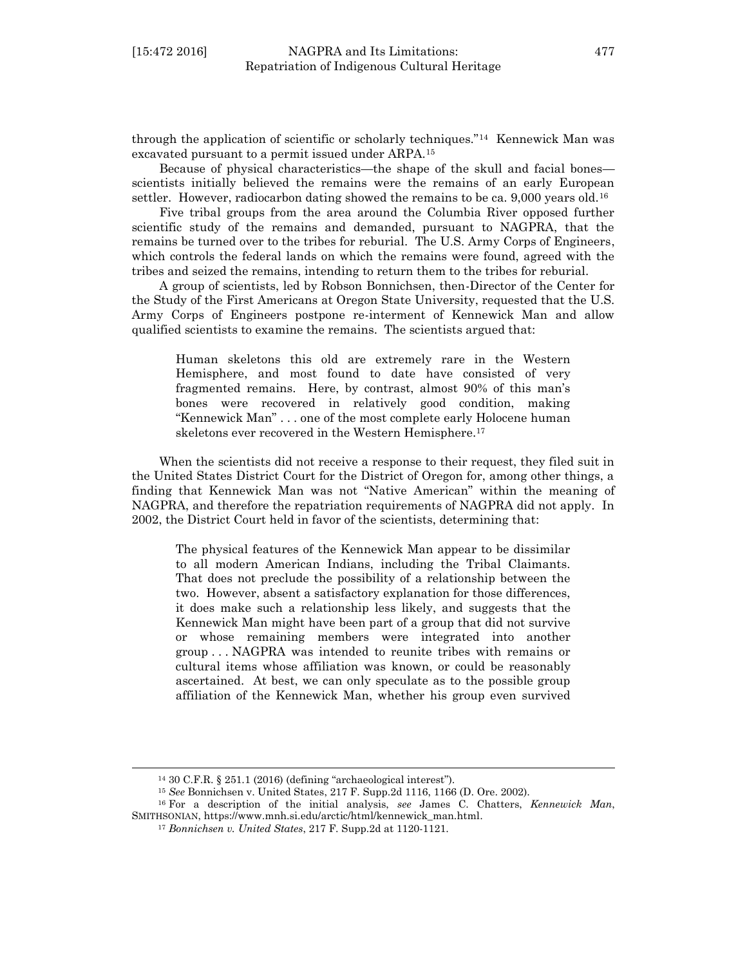through the application of scientific or scholarly techniques."<sup>14</sup> Kennewick Man was excavated pursuant to a permit issued under ARPA.<sup>15</sup>

Because of physical characteristics—the shape of the skull and facial bones scientists initially believed the remains were the remains of an early European settler. However, radiocarbon dating showed the remains to be ca. 9,000 years old.<sup>16</sup>

Five tribal groups from the area around the Columbia River opposed further scientific study of the remains and demanded, pursuant to NAGPRA, that the remains be turned over to the tribes for reburial. The U.S. Army Corps of Engineers, which controls the federal lands on which the remains were found, agreed with the tribes and seized the remains, intending to return them to the tribes for reburial.

A group of scientists, led by Robson Bonnichsen, then-Director of the Center for the Study of the First Americans at Oregon State University, requested that the U.S. Army Corps of Engineers postpone re-interment of Kennewick Man and allow qualified scientists to examine the remains. The scientists argued that:

Human skeletons this old are extremely rare in the Western Hemisphere, and most found to date have consisted of very fragmented remains. Here, by contrast, almost 90% of this man's bones were recovered in relatively good condition, making "Kennewick Man" . . . one of the most complete early Holocene human skeletons ever recovered in the Western Hemisphere.<sup>17</sup>

When the scientists did not receive a response to their request, they filed suit in the United States District Court for the District of Oregon for, among other things, a finding that Kennewick Man was not "Native American" within the meaning of NAGPRA, and therefore the repatriation requirements of NAGPRA did not apply. In 2002, the District Court held in favor of the scientists, determining that:

The physical features of the Kennewick Man appear to be dissimilar to all modern American Indians, including the Tribal Claimants. That does not preclude the possibility of a relationship between the two. However, absent a satisfactory explanation for those differences, it does make such a relationship less likely, and suggests that the Kennewick Man might have been part of a group that did not survive or whose remaining members were integrated into another group . . . NAGPRA was intended to reunite tribes with remains or cultural items whose affiliation was known, or could be reasonably ascertained. At best, we can only speculate as to the possible group affiliation of the Kennewick Man, whether his group even survived

<sup>14</sup> 30 C.F.R. § 251.1 (2016) (defining "archaeological interest").

<sup>15</sup> *See* Bonnichsen v. United States, 217 F. Supp.2d 1116, 1166 (D. Ore. 2002).

<sup>16</sup> For a description of the initial analysis, *see* James C. Chatters, *Kennewick Man*, SMITHSONIAN, https://www.mnh.si.edu/arctic/html/kennewick\_man.html.

<sup>17</sup> *Bonnichsen v. United States*, 217 F. Supp.2d at 1120-1121.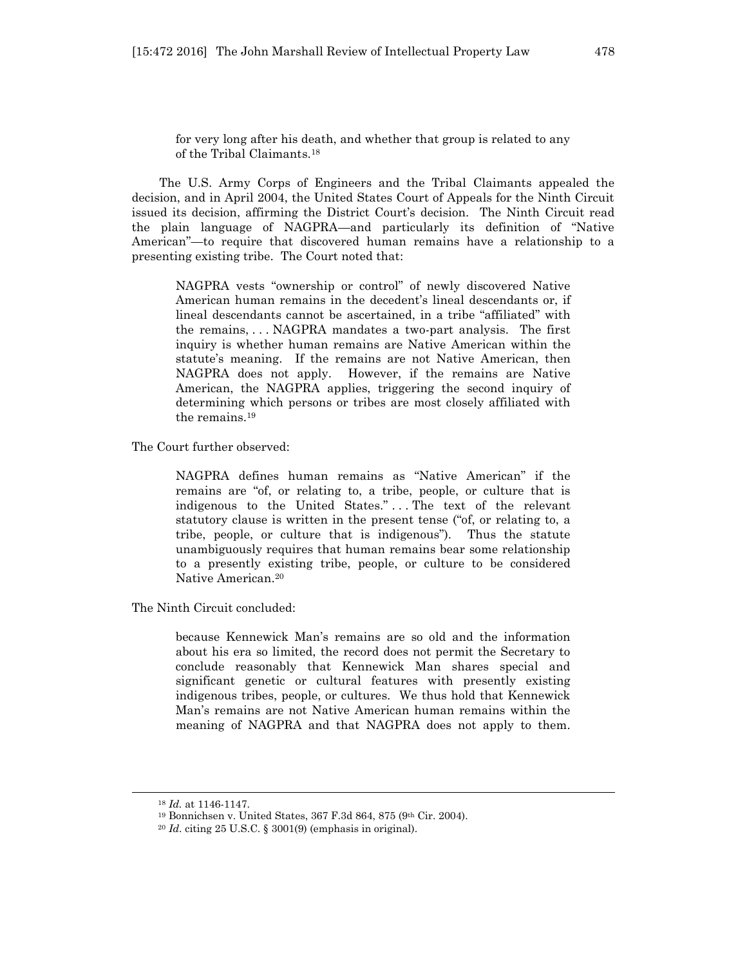for very long after his death, and whether that group is related to any of the Tribal Claimants.<sup>18</sup>

The U.S. Army Corps of Engineers and the Tribal Claimants appealed the decision, and in April 2004, the United States Court of Appeals for the Ninth Circuit issued its decision, affirming the District Court's decision. The Ninth Circuit read the plain language of NAGPRA—and particularly its definition of "Native American"—to require that discovered human remains have a relationship to a presenting existing tribe. The Court noted that:

NAGPRA vests "ownership or control" of newly discovered Native American human remains in the decedent's lineal descendants or, if lineal descendants cannot be ascertained, in a tribe "affiliated" with the remains, . . . NAGPRA mandates a two-part analysis. The first inquiry is whether human remains are Native American within the statute's meaning. If the remains are not Native American, then NAGPRA does not apply. However, if the remains are Native American, the NAGPRA applies, triggering the second inquiry of determining which persons or tribes are most closely affiliated with the remains. 19

The Court further observed:

NAGPRA defines human remains as "Native American" if the remains are "of, or relating to, a tribe, people, or culture that is indigenous to the United States." . . . The text of the relevant statutory clause is written in the present tense ("of, or relating to, a tribe, people, or culture that is indigenous"). Thus the statute unambiguously requires that human remains bear some relationship to a presently existing tribe, people, or culture to be considered Native American.<sup>20</sup>

The Ninth Circuit concluded:

because Kennewick Man's remains are so old and the information about his era so limited, the record does not permit the Secretary to conclude reasonably that Kennewick Man shares special and significant genetic or cultural features with presently existing indigenous tribes, people, or cultures. We thus hold that Kennewick Man's remains are not Native American human remains within the meaning of NAGPRA and that NAGPRA does not apply to them.

<sup>18</sup> *Id.* at 1146-1147.

<sup>19</sup> Bonnichsen v. United States, 367 F.3d 864, 875 (9th Cir. 2004).

<sup>20</sup> *Id*. citing 25 U.S.C. § 3001(9) (emphasis in original).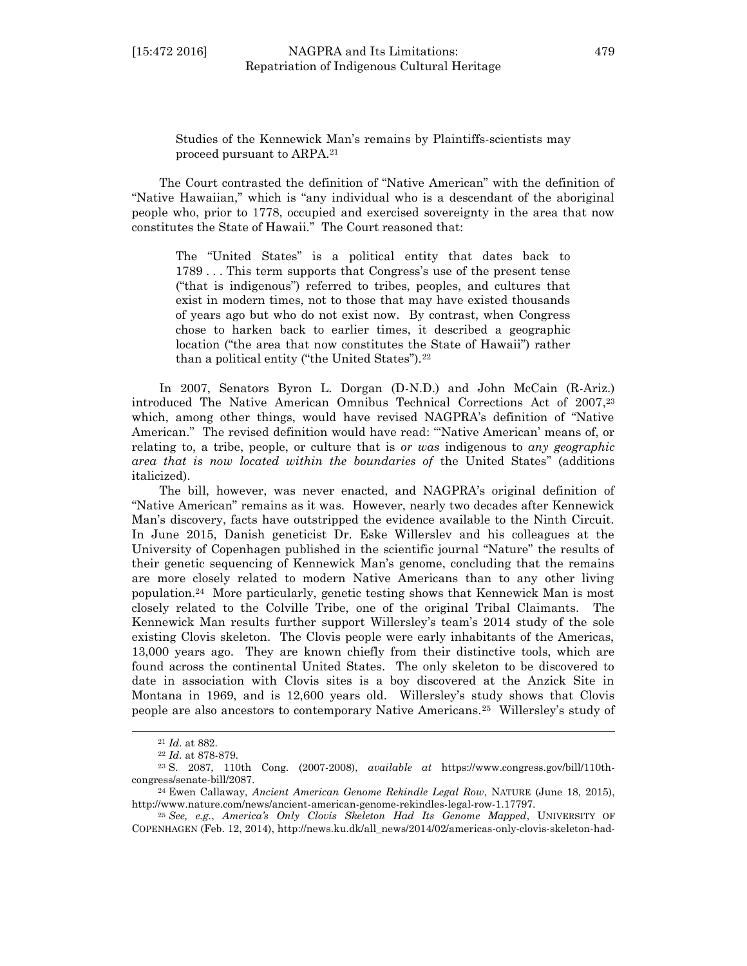Studies of the Kennewick Man's remains by Plaintiffs-scientists may proceed pursuant to ARPA.<sup>21</sup>

The Court contrasted the definition of "Native American" with the definition of "Native Hawaiian," which is "any individual who is a descendant of the aboriginal people who, prior to 1778, occupied and exercised sovereignty in the area that now constitutes the State of Hawaii." The Court reasoned that:

The "United States" is a political entity that dates back to 1789 . . . This term supports that Congress's use of the present tense ("that is indigenous") referred to tribes, peoples, and cultures that exist in modern times, not to those that may have existed thousands of years ago but who do not exist now. By contrast, when Congress chose to harken back to earlier times, it described a geographic location ("the area that now constitutes the State of Hawaii") rather than a political entity ("the United States").<sup>22</sup>

In 2007, Senators Byron L. Dorgan (D-N.D.) and John McCain (R-Ariz.) introduced The Native American Omnibus Technical Corrections Act of 2007, 23 which, among other things, would have revised NAGPRA's definition of "Native American." The revised definition would have read: "'Native American' means of, or relating to, a tribe, people, or culture that is *or was* indigenous to *any geographic area that is now located within the boundaries of* the United States" (additions italicized).

The bill, however, was never enacted, and NAGPRA's original definition of "Native American" remains as it was. However, nearly two decades after Kennewick Man's discovery, facts have outstripped the evidence available to the Ninth Circuit. In June 2015, Danish geneticist Dr. Eske Willerslev and his colleagues at the University of Copenhagen published in the scientific journal "Nature" the results of their genetic sequencing of Kennewick Man's genome, concluding that the remains are more closely related to modern Native Americans than to any other living population.<sup>24</sup> More particularly, genetic testing shows that Kennewick Man is most closely related to the Colville Tribe, one of the original Tribal Claimants. The Kennewick Man results further support Willersley's team's 2014 study of the sole existing Clovis skeleton. The Clovis people were early inhabitants of the Americas, 13,000 years ago. They are known chiefly from their distinctive tools, which are found across the continental United States. The only skeleton to be discovered to date in association with Clovis sites is a boy discovered at the Anzick Site in Montana in 1969, and is 12,600 years old. Willersley's study shows that Clovis people are also ancestors to contemporary Native Americans.<sup>25</sup> Willersley's study of

<sup>21</sup> *Id*. at 882.

<sup>22</sup> *Id*. at 878-879.

<sup>23</sup> S. 2087, 110th Cong. (2007-2008), *available at* https://www.congress.gov/bill/110thcongress/senate-bill/2087.

<sup>24</sup> Ewen Callaway, *Ancient American Genome Rekindle Legal Row*, NATURE (June 18, 2015), http://www.nature.com/news/ancient-american-genome-rekindles-legal-row-1.17797.

<sup>25</sup> *See, e.g.*, *America's Only Clovis Skeleton Had Its Genome Mapped*, UNIVERSITY OF COPENHAGEN (Feb. 12, 2014), http://news.ku.dk/all\_news/2014/02/americas-only-clovis-skeleton-had-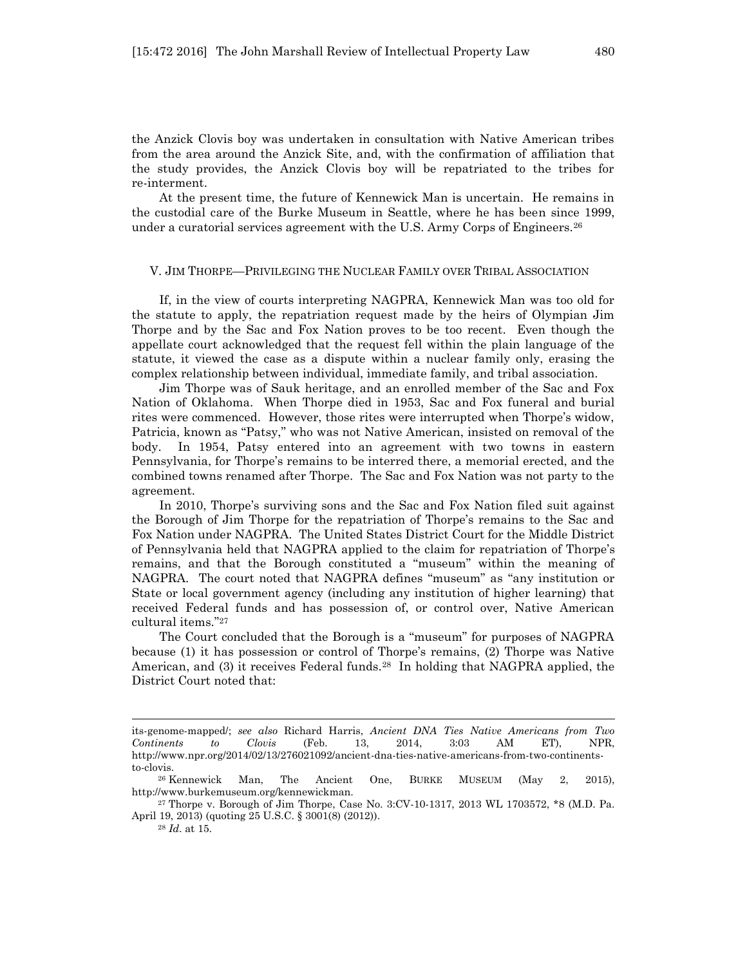the Anzick Clovis boy was undertaken in consultation with Native American tribes from the area around the Anzick Site, and, with the confirmation of affiliation that the study provides, the Anzick Clovis boy will be repatriated to the tribes for re-interment.

At the present time, the future of Kennewick Man is uncertain. He remains in the custodial care of the Burke Museum in Seattle, where he has been since 1999, under a curatorial services agreement with the U.S. Army Corps of Engineers.<sup>26</sup>

#### V. JIM THORPE—PRIVILEGING THE NUCLEAR FAMILY OVER TRIBAL ASSOCIATION

If, in the view of courts interpreting NAGPRA, Kennewick Man was too old for the statute to apply, the repatriation request made by the heirs of Olympian Jim Thorpe and by the Sac and Fox Nation proves to be too recent. Even though the appellate court acknowledged that the request fell within the plain language of the statute, it viewed the case as a dispute within a nuclear family only, erasing the complex relationship between individual, immediate family, and tribal association.

Jim Thorpe was of Sauk heritage, and an enrolled member of the Sac and Fox Nation of Oklahoma. When Thorpe died in 1953, Sac and Fox funeral and burial rites were commenced. However, those rites were interrupted when Thorpe's widow, Patricia, known as "Patsy," who was not Native American, insisted on removal of the body. In 1954, Patsy entered into an agreement with two towns in eastern Pennsylvania, for Thorpe's remains to be interred there, a memorial erected, and the combined towns renamed after Thorpe. The Sac and Fox Nation was not party to the agreement.

In 2010, Thorpe's surviving sons and the Sac and Fox Nation filed suit against the Borough of Jim Thorpe for the repatriation of Thorpe's remains to the Sac and Fox Nation under NAGPRA. The United States District Court for the Middle District of Pennsylvania held that NAGPRA applied to the claim for repatriation of Thorpe's remains, and that the Borough constituted a "museum" within the meaning of NAGPRA. The court noted that NAGPRA defines "museum" as "any institution or State or local government agency (including any institution of higher learning) that received Federal funds and has possession of, or control over, Native American cultural items." 27

The Court concluded that the Borough is a "museum" for purposes of NAGPRA because (1) it has possession or control of Thorpe's remains, (2) Thorpe was Native American, and (3) it receives Federal funds.28 In holding that NAGPRA applied, the District Court noted that:

its-genome-mapped/; *see also* Richard Harris, *Ancient DNA Ties Native Americans from Two Continents to Clovis* (Feb. 13, 2014, 3:03 AM ET), NPR, http://www.npr.org/2014/02/13/276021092/ancient-dna-ties-native-americans-from-two-continentsto-clovis.

<sup>26</sup> Kennewick Man, The Ancient One, BURKE MUSEUM (May 2, 2015), http://www.burkemuseum.org/kennewickman.

<sup>27</sup> Thorpe v. Borough of Jim Thorpe, Case No. 3:CV-10-1317, 2013 WL 1703572, \*8 (M.D. Pa. April 19, 2013) (quoting 25 U.S.C. § 3001(8) (2012)).

<sup>28</sup> *Id*. at 15.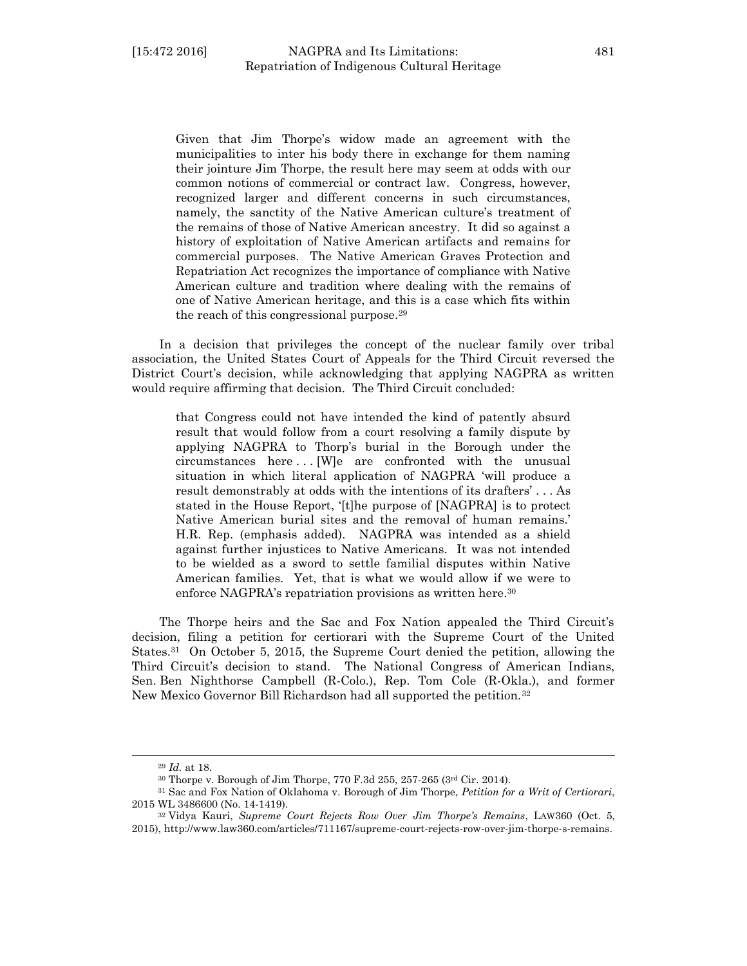Given that Jim Thorpe's widow made an agreement with the municipalities to inter his body there in exchange for them naming their jointure Jim Thorpe, the result here may seem at odds with our common notions of commercial or contract law. Congress, however, recognized larger and different concerns in such circumstances, namely, the sanctity of the Native American culture's treatment of the remains of those of Native American ancestry. It did so against a history of exploitation of Native American artifacts and remains for commercial purposes. The Native American Graves Protection and Repatriation Act recognizes the importance of compliance with Native American culture and tradition where dealing with the remains of one of Native American heritage, and this is a case which fits within the reach of this congressional purpose.<sup>29</sup>

In a decision that privileges the concept of the nuclear family over tribal association, the United States Court of Appeals for the Third Circuit reversed the District Court's decision, while acknowledging that applying NAGPRA as written would require affirming that decision. The Third Circuit concluded:

that Congress could not have intended the kind of patently absurd result that would follow from a court resolving a family dispute by applying NAGPRA to Thorp's burial in the Borough under the circumstances here . . . [W]e are confronted with the unusual situation in which literal application of NAGPRA 'will produce a result demonstrably at odds with the intentions of its drafters' . . . As stated in the House Report, '[t]he purpose of [NAGPRA] is to protect Native American burial sites and the removal of human remains.' H.R. Rep. (emphasis added). NAGPRA was intended as a shield against further injustices to Native Americans. It was not intended to be wielded as a sword to settle familial disputes within Native American families. Yet, that is what we would allow if we were to enforce NAGPRA's repatriation provisions as written here.<sup>30</sup>

The Thorpe heirs and the Sac and Fox Nation appealed the Third Circuit's decision, filing a petition for certiorari with the Supreme Court of the United States.31 On October 5, 2015, the Supreme Court denied the petition, allowing the Third Circuit's decision to stand. The National Congress of American Indians, Sen. Ben Nighthorse Campbell (R-Colo.), Rep. Tom Cole (R-Okla.), and former New Mexico Governor Bill Richardson had all supported the petition.<sup>32</sup>

<sup>29</sup> *Id.* at 18.

<sup>30</sup> Thorpe v. Borough of Jim Thorpe, 770 F.3d 255, 257-265 (3rd Cir. 2014).

<sup>31</sup> Sac and Fox Nation of Oklahoma v. Borough of Jim Thorpe, *Petition for a Writ of Certiorari*, 2015 WL 3486600 (No. 14-1419).

<sup>32</sup> Vidya Kauri, *Supreme Court Rejects Row Over Jim Thorpe's Remains*, LAW360 (Oct. 5, 2015), http://www.law360.com/articles/711167/supreme-court-rejects-row-over-jim-thorpe-s-remains.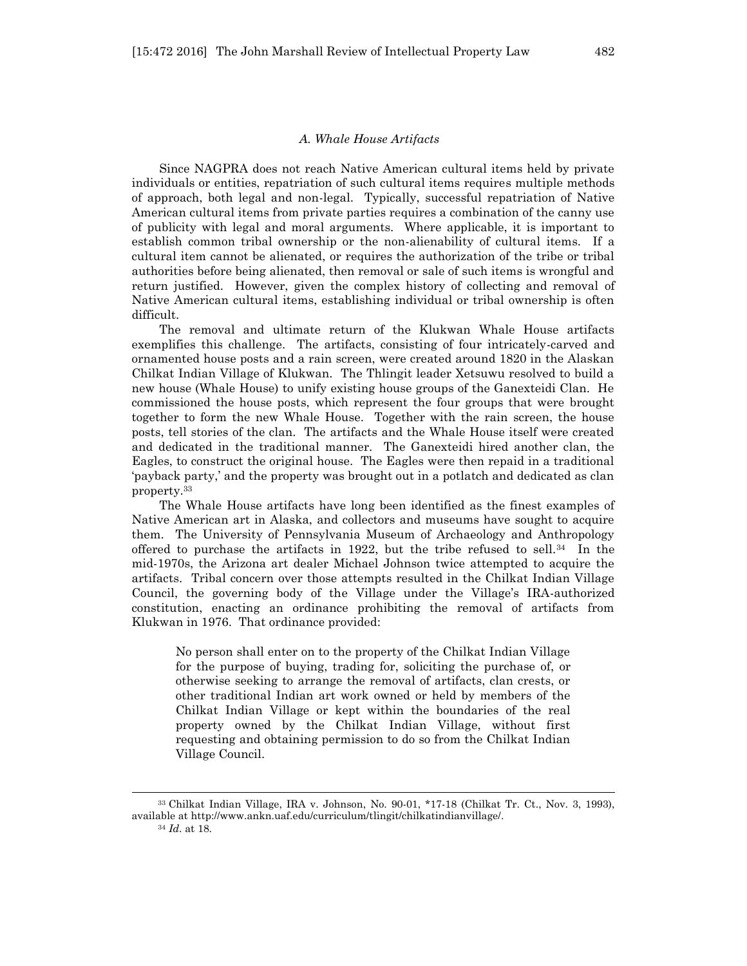#### *A. Whale House Artifacts*

Since NAGPRA does not reach Native American cultural items held by private individuals or entities, repatriation of such cultural items requires multiple methods of approach, both legal and non-legal. Typically, successful repatriation of Native American cultural items from private parties requires a combination of the canny use of publicity with legal and moral arguments. Where applicable, it is important to establish common tribal ownership or the non-alienability of cultural items. If a cultural item cannot be alienated, or requires the authorization of the tribe or tribal authorities before being alienated, then removal or sale of such items is wrongful and return justified. However, given the complex history of collecting and removal of Native American cultural items, establishing individual or tribal ownership is often difficult.

The removal and ultimate return of the Klukwan Whale House artifacts exemplifies this challenge. The artifacts, consisting of four intricately-carved and ornamented house posts and a rain screen, were created around 1820 in the Alaskan Chilkat Indian Village of Klukwan. The Thlingit leader Xetsuwu resolved to build a new house (Whale House) to unify existing house groups of the Ganexteidi Clan. He commissioned the house posts, which represent the four groups that were brought together to form the new Whale House. Together with the rain screen, the house posts, tell stories of the clan. The artifacts and the Whale House itself were created and dedicated in the traditional manner. The Ganexteidi hired another clan, the Eagles, to construct the original house. The Eagles were then repaid in a traditional 'payback party,' and the property was brought out in a potlatch and dedicated as clan property.<sup>33</sup>

The Whale House artifacts have long been identified as the finest examples of Native American art in Alaska, and collectors and museums have sought to acquire them. The University of Pennsylvania Museum of Archaeology and Anthropology offered to purchase the artifacts in 1922, but the tribe refused to sell.<sup>34</sup> In the mid-1970s, the Arizona art dealer Michael Johnson twice attempted to acquire the artifacts. Tribal concern over those attempts resulted in the Chilkat Indian Village Council, the governing body of the Village under the Village's IRA-authorized constitution, enacting an ordinance prohibiting the removal of artifacts from Klukwan in 1976. That ordinance provided:

No person shall enter on to the property of the Chilkat Indian Village for the purpose of buying, trading for, soliciting the purchase of, or otherwise seeking to arrange the removal of artifacts, clan crests, or other traditional Indian art work owned or held by members of the Chilkat Indian Village or kept within the boundaries of the real property owned by the Chilkat Indian Village, without first requesting and obtaining permission to do so from the Chilkat Indian Village Council.

<sup>33</sup> Chilkat Indian Village, IRA v. Johnson, No. 90-01, \*17-18 (Chilkat Tr. Ct., Nov. 3, 1993), available at http://www.ankn.uaf.edu/curriculum/tlingit/chilkatindianvillage/. <sup>34</sup> *Id*. at 18.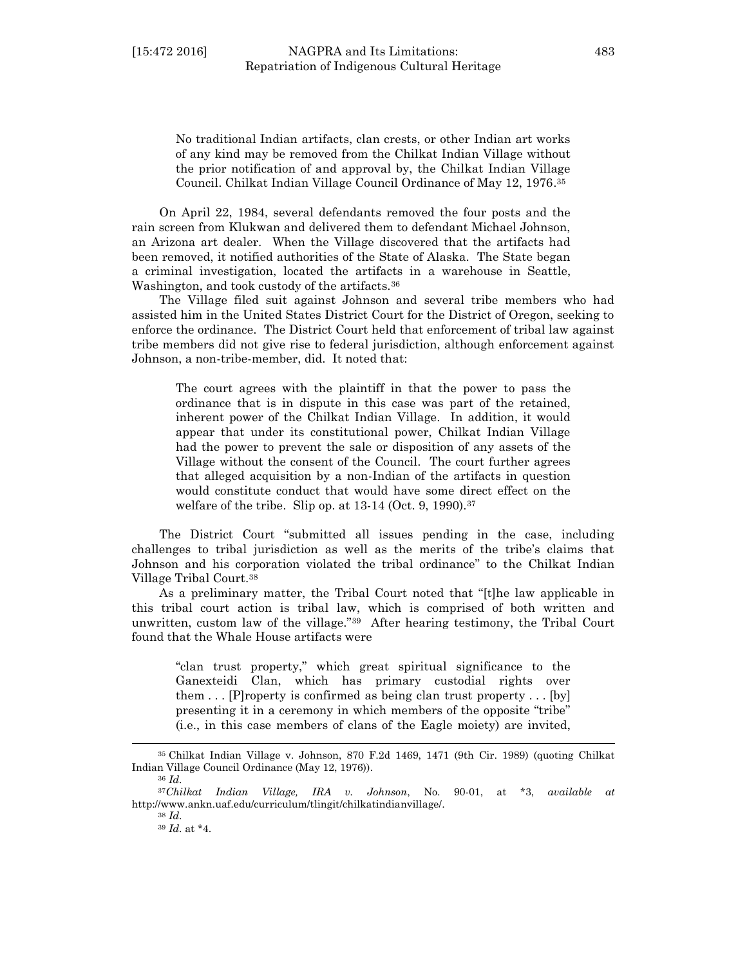No traditional Indian artifacts, clan crests, or other Indian art works of any kind may be removed from the Chilkat Indian Village without the prior notification of and approval by, the Chilkat Indian Village Council. Chilkat Indian Village Council Ordinance of May 12, 1976. 35

On April 22, 1984, several defendants removed the four posts and the rain screen from Klukwan and delivered them to defendant Michael Johnson, an Arizona art dealer. When the Village discovered that the artifacts had been removed, it notified authorities of the State of Alaska. The State began a criminal investigation, located the artifacts in a warehouse in Seattle, Washington, and took custody of the artifacts.<sup>36</sup>

The Village filed suit against Johnson and several tribe members who had assisted him in the United States District Court for the District of Oregon, seeking to enforce the ordinance. The District Court held that enforcement of tribal law against tribe members did not give rise to federal jurisdiction, although enforcement against Johnson, a non-tribe-member, did. It noted that:

The court agrees with the plaintiff in that the power to pass the ordinance that is in dispute in this case was part of the retained, inherent power of the Chilkat Indian Village. In addition, it would appear that under its constitutional power, Chilkat Indian Village had the power to prevent the sale or disposition of any assets of the Village without the consent of the Council. The court further agrees that alleged acquisition by a non-Indian of the artifacts in question would constitute conduct that would have some direct effect on the welfare of the tribe. Slip op. at  $13-14$  (Oct. 9, 1990).<sup>37</sup>

The District Court "submitted all issues pending in the case, including challenges to tribal jurisdiction as well as the merits of the tribe's claims that Johnson and his corporation violated the tribal ordinance" to the Chilkat Indian Village Tribal Court.<sup>38</sup>

As a preliminary matter, the Tribal Court noted that "[t]he law applicable in this tribal court action is tribal law, which is comprised of both written and unwritten, custom law of the village."39 After hearing testimony, the Tribal Court found that the Whale House artifacts were

"clan trust property," which great spiritual significance to the Ganexteidi Clan, which has primary custodial rights over them . . . [P]roperty is confirmed as being clan trust property . . . [by] presenting it in a ceremony in which members of the opposite "tribe" (i.e., in this case members of clans of the Eagle moiety) are invited,

l

<sup>38</sup> *Id*.

<sup>39</sup> *Id*. at \*4.

<sup>35</sup> Chilkat Indian Village v. Johnson, 870 F.2d 1469, 1471 (9th Cir. 1989) (quoting Chilkat Indian Village Council Ordinance (May 12, 1976)).

<sup>36</sup> *Id*.

<sup>37</sup>*Chilkat Indian Village, IRA v. Johnson*, No. 90-01, at \*3, *available at* http://www.ankn.uaf.edu/curriculum/tlingit/chilkatindianvillage/.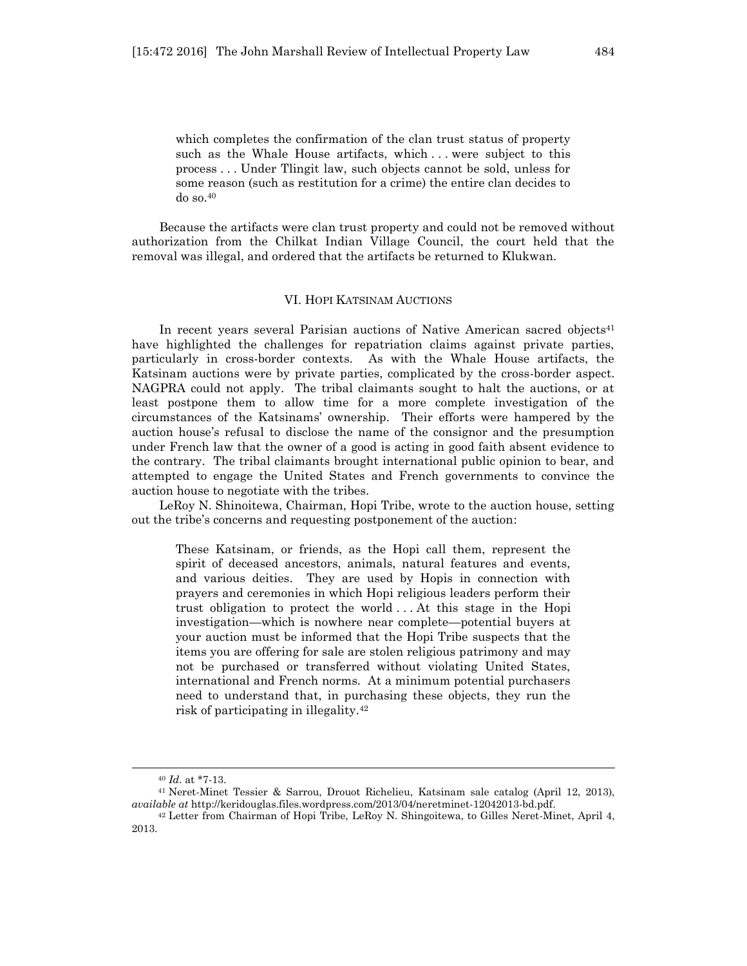which completes the confirmation of the clan trust status of property such as the Whale House artifacts, which . . . were subject to this process . . . Under Tlingit law, such objects cannot be sold, unless for some reason (such as restitution for a crime) the entire clan decides to do so.<sup>40</sup>

Because the artifacts were clan trust property and could not be removed without authorization from the Chilkat Indian Village Council, the court held that the removal was illegal, and ordered that the artifacts be returned to Klukwan.

## VI. HOPI KATSINAM AUCTIONS

In recent years several Parisian auctions of Native American sacred objects<sup>41</sup> have highlighted the challenges for repatriation claims against private parties, particularly in cross-border contexts. As with the Whale House artifacts, the Katsinam auctions were by private parties, complicated by the cross-border aspect. NAGPRA could not apply. The tribal claimants sought to halt the auctions, or at least postpone them to allow time for a more complete investigation of the circumstances of the Katsinams' ownership. Their efforts were hampered by the auction house's refusal to disclose the name of the consignor and the presumption under French law that the owner of a good is acting in good faith absent evidence to the contrary. The tribal claimants brought international public opinion to bear, and attempted to engage the United States and French governments to convince the auction house to negotiate with the tribes.

LeRoy N. Shinoitewa, Chairman, Hopi Tribe, wrote to the auction house, setting out the tribe's concerns and requesting postponement of the auction:

These Katsinam, or friends, as the Hopi call them, represent the spirit of deceased ancestors, animals, natural features and events, and various deities. They are used by Hopis in connection with prayers and ceremonies in which Hopi religious leaders perform their trust obligation to protect the world . . . At this stage in the Hopi investigation—which is nowhere near complete—potential buyers at your auction must be informed that the Hopi Tribe suspects that the items you are offering for sale are stolen religious patrimony and may not be purchased or transferred without violating United States, international and French norms. At a minimum potential purchasers need to understand that, in purchasing these objects, they run the risk of participating in illegality.<sup>42</sup>

<sup>40</sup> *Id*. at \*7-13.

<sup>41</sup> Neret-Minet Tessier & Sarrou, Drouot Richelieu, Katsinam sale catalog (April 12, 2013), *available at* http://keridouglas.files.wordpress.com/2013/04/neretminet-12042013-bd.pdf.

<sup>42</sup> Letter from Chairman of Hopi Tribe, LeRoy N. Shingoitewa, to Gilles Neret-Minet, April 4, 2013.